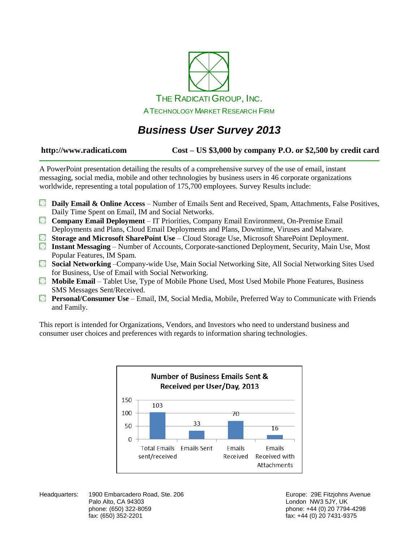

# *Business User Survey 2013*

## **http://www.radicati.com Cost – US \$3,000 by company P.O. or \$2,500 by credit card**

A PowerPoint presentation detailing the results of a comprehensive survey of the use of email, instant messaging, social media, mobile and other technologies by business users in 46 corporate organizations worldwide, representing a total population of 175,700 employees. Survey Results include:

- **Daily Email & Online Access** Number of Emails Sent and Received, Spam, Attachments, False Positives, Daily Time Spent on Email, IM and Social Networks.
- **Company Email Deployment** IT Priorities, Company Email Environment, On-Premise Email Deployments and Plans, Cloud Email Deployments and Plans, Downtime, Viruses and Malware.
- **Storage and Microsoft SharePoint Use**  Cloud Storage Use, Microsoft SharePoint Deployment.
- **Instant Messaging**  Number of Accounts, Corporate-sanctioned Deployment, Security, Main Use, Most Popular Features, IM Spam.
- **Social Networking** –Company-wide Use, Main Social Networking Site, All Social Networking Sites Used for Business, Use of Email with Social Networking.
- **Mobile Email**  Tablet Use, Type of Mobile Phone Used, Most Used Mobile Phone Features, Business SMS Messages Sent/Received.
- **Personal/Consumer Use** Email, IM, Social Media, Mobile, Preferred Way to Communicate with Friends and Family.

This report is intended for Organizations, Vendors, and Investors who need to understand business and consumer user choices and preferences with regards to information sharing technologies.



Headquarters: 1900 Embarcadero Road, Ste. 206 **Europe: 29 Europe: 29E Fitzjohns Avenue** Palo Alto, CA 94303 **Discript Altonomy Control Control Control Control Control Control Control Control Control Control Control Control Control Control Control Control Control Control Control Control Control Control Control** phone: (650) 322-8059 phone: +44 (0) 20 7794-4298 fax: (650) 352-2201 fax: +44 (0) 20 7431-9375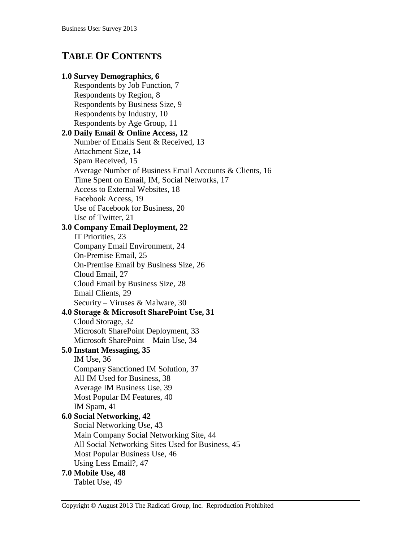## **TABLE OF CONTENTS**

## **1.0 Survey Demographics, 6**

Respondents by Job Function, 7 Respondents by Region, 8 Respondents by Business Size, 9 Respondents by Industry, 10 Respondents by Age Group, 11 **2.0 Daily Email & Online Access, 12** Number of Emails Sent & Received, 13 Attachment Size, 14 Spam Received, 15 Average Number of Business Email Accounts & Clients, 16 Time Spent on Email, IM, Social Networks, 17 Access to External Websites, 18 Facebook Access, 19 Use of Facebook for Business, 20 Use of Twitter, 21 **3.0 Company Email Deployment, 22** IT Priorities, 23 Company Email Environment, 24 On-Premise Email, 25 On-Premise Email by Business Size, 26 Cloud Email, 27 Cloud Email by Business Size, 28 Email Clients, 29 Security – Viruses & Malware, 30 **4.0 Storage & Microsoft SharePoint Use, 31** Cloud Storage, 32 Microsoft SharePoint Deployment, 33 Microsoft SharePoint – Main Use, 34 **5.0 Instant Messaging, 35** IM Use, 36 Company Sanctioned IM Solution, 37 All IM Used for Business, 38 Average IM Business Use, 39 Most Popular IM Features, 40 IM Spam, 41 **6.0 Social Networking, 42** Social Networking Use, 43 Main Company Social Networking Site, 44 All Social Networking Sites Used for Business, 45 Most Popular Business Use, 46 Using Less Email?, 47 **7.0 Mobile Use, 48** Tablet Use, 49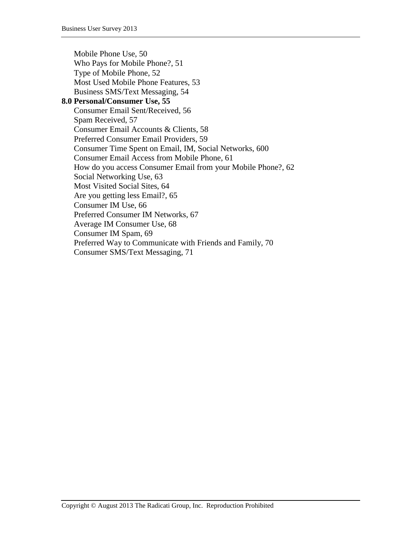Mobile Phone Use, 50 Who Pays for Mobile Phone?, 51 Type of Mobile Phone, 52 Most Used Mobile Phone Features, 53 Business SMS/Text Messaging, 54 **8.0 Personal/Consumer Use, 55** Consumer Email Sent/Received, 56 Spam Received, 57 Consumer Email Accounts & Clients, 58 Preferred Consumer Email Providers, 59 Consumer Time Spent on Email, IM, Social Networks, 600 Consumer Email Access from Mobile Phone, 61 How do you access Consumer Email from your Mobile Phone?, 62 Social Networking Use, 63 Most Visited Social Sites, 64 Are you getting less Email?, 65 Consumer IM Use, 66 Preferred Consumer IM Networks, 67 Average IM Consumer Use, 68 Consumer IM Spam, 69 Preferred Way to Communicate with Friends and Family, 70 Consumer SMS/Text Messaging, 71